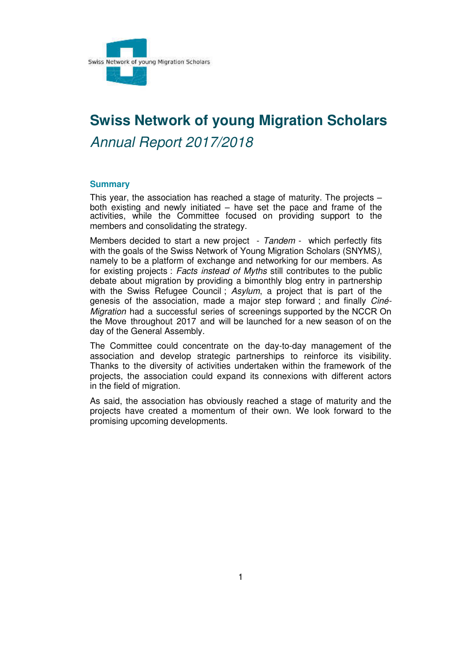

# **Swiss Network of young Migration Scholars**  *Annual Report 2017/2018*

#### <span id="page-0-0"></span>**Summary**

This year, the association has reached a stage of maturity. The projects – both existing and newly initiated – have set the pace and frame of the activities, while the Committee focused on providing support to the members and consolidating the strategy.

Members decided to start a new project - *Tandem* - which perfectly fits with the goals of the Swiss Network of Young Migration Scholars (SNYMS*)*, namely to be a platform of exchange and networking for our members. As for existing projects : *Facts instead of Myths* still contributes to the public debate about migration by providing a bimonthly blog entry in partnership with the Swiss Refugee Council ; *Asylum*, a project that is part of the genesis of the association, made a major step forward ; and finally *Ciné-Migration* had a successful series of screenings supported by the NCCR On the Move throughout 2017 and will be launched for a new season of on the day of the General Assembly.

The Committee could concentrate on the day-to-day management of the association and develop strategic partnerships to reinforce its visibility. Thanks to the diversity of activities undertaken within the framework of the projects, the association could expand its connexions with different actors in the field of migration.

As said, the association has obviously reached a stage of maturity and the projects have created a momentum of their own. We look forward to the promising upcoming developments.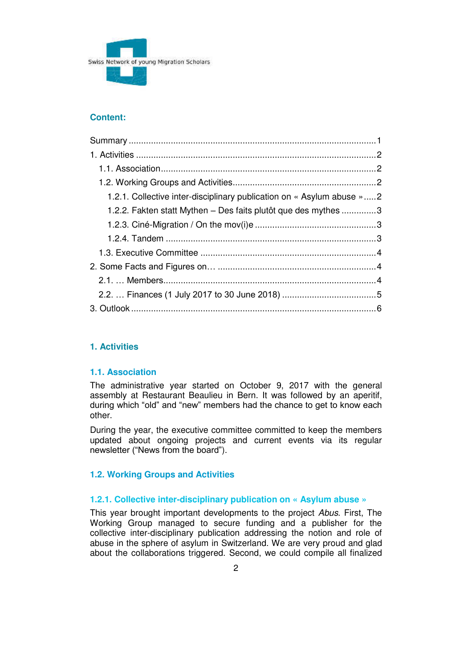

## **Content:**

| 1.2.1. Collective inter-disciplinary publication on « Asylum abuse »2<br>1.2.2. Fakten statt Mythen – Des faits plutôt que des mythes 3 |  |
|-----------------------------------------------------------------------------------------------------------------------------------------|--|
|                                                                                                                                         |  |
|                                                                                                                                         |  |
|                                                                                                                                         |  |
|                                                                                                                                         |  |
|                                                                                                                                         |  |
|                                                                                                                                         |  |
|                                                                                                                                         |  |
|                                                                                                                                         |  |
|                                                                                                                                         |  |
|                                                                                                                                         |  |
|                                                                                                                                         |  |
|                                                                                                                                         |  |

# <span id="page-1-0"></span>1. Activities

## <span id="page-1-1"></span>1.1. Association

The administrative year started on October 9, 2017 with the general assembly at Restaurant Beaulieu in Bern. It was followed by an aperitif, during which "old" and "new" members had the chance to get to know each other.

During the year, the executive committee committed to keep the members updated about ongoing projects and current events via its regular newsletter ("News from the board").

## <span id="page-1-2"></span>**1.2. Working Groups and Activities**

## <span id="page-1-3"></span>1.2.1. Collective inter-disciplinary publication on « Asylum abuse »

This year brought important developments to the project Abus. First, The Working Group managed to secure funding and a publisher for the collective inter-disciplinary publication addressing the notion and role of abuse in the sphere of asylum in Switzerland. We are very proud and glad about the collaborations triggered. Second, we could compile all finalized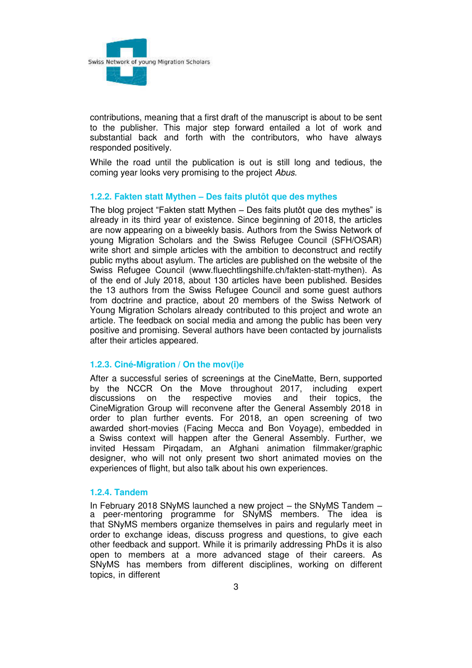

contributions, meaning that a first draft of the manuscript is about to be sent to the publisher. This major step forward entailed a lot of work and substantial back and forth with the contributors, who have always responded positively.

While the road until the publication is out is still long and tedious, the coming year looks very promising to the project *Abus*.

#### <span id="page-2-0"></span>**1.2.2. Fakten statt Mythen – Des faits plutôt que des mythes**

The blog project "Fakten statt Mythen – Des faits plutôt que des mythes" is already in its third year of existence. Since beginning of 2018, the articles are now appearing on a biweekly basis. Authors from the Swiss Network of young Migration Scholars and the Swiss Refugee Council (SFH/OSAR) write short and simple articles with the ambition to deconstruct and rectify public myths about asylum. The articles are published on the website of the Swiss Refugee Council (www.fluechtlingshilfe.ch/fakten-statt-mythen). As of the end of July 2018, about 130 articles have been published. Besides the 13 authors from the Swiss Refugee Council and some guest authors from doctrine and practice, about 20 members of the Swiss Network of Young Migration Scholars already contributed to this project and wrote an article. The feedback on social media and among the public has been very positive and promising. Several authors have been contacted by journalists after their articles appeared.

## <span id="page-2-1"></span>**1.2.3. Ciné-Migration / On the mov(i)e**

After a successful series of screenings at the CineMatte, Bern, supported by the NCCR On the Move throughout 2017, including expert discussions on the respective movies and their topics, the and their topics, the CineMigration Group will reconvene after the General Assembly 2018 in order to plan further events. For 2018, an open screening of two awarded short-movies (Facing Mecca and Bon Voyage), embedded in a Swiss context will happen after the General Assembly. Further, we invited Hessam Pirqadam, an Afghani animation filmmaker/graphic designer, who will not only present two short animated movies on the experiences of flight, but also talk about his own experiences.

#### <span id="page-2-2"></span>**1.2.4. Tandem**

In February 2018 SNyMS launched a new project – the SNyMS Tandem – a peer-mentoring programme for SNyMS members. The idea is that SNyMS members organize themselves in pairs and regularly meet in order to exchange ideas, discuss progress and questions, to give each other feedback and support. While it is primarily addressing PhDs it is also open to members at a more advanced stage of their careers. As SNyMS has members from different disciplines, working on different topics, in different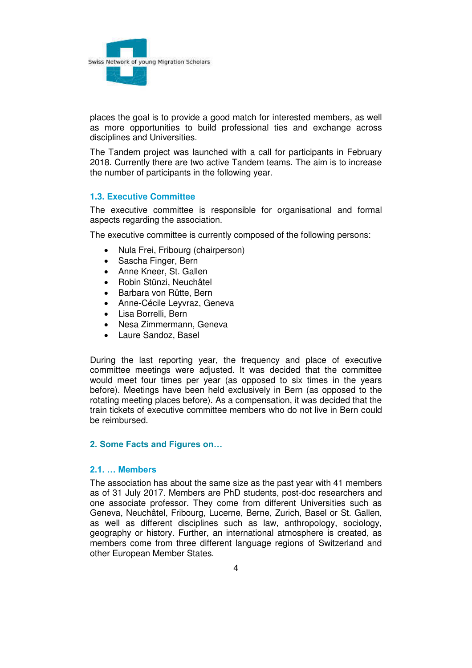

places the goal is to provide a good match for interested members, as well as more opportunities to build professional ties and exchange across disciplines and Universities.

The Tandem project was launched with a call for participants in February 2018. Currently there are two active Tandem teams. The aim is to increase the number of participants in the following year.

#### <span id="page-3-0"></span>**1.3. Executive Committee**

The executive committee is responsible for organisational and formal aspects regarding the association.

The executive committee is currently composed of the following persons:

- Nula Frei, Fribourg (chairperson)
- Sascha Finger, Bern
- Anne Kneer, St. Gallen
- Robin Stünzi, Neuchâtel
- Barbara von Rütte, Bern
- Anne-Cécile Leyvraz, Geneva
- Lisa Borrelli, Bern
- Nesa Zimmermann, Geneva
- Laure Sandoz, Basel

During the last reporting year, the frequency and place of executive committee meetings were adjusted. It was decided that the committee would meet four times per year (as opposed to six times in the years before). Meetings have been held exclusively in Bern (as opposed to the rotating meeting places before). As a compensation, it was decided that the train tickets of executive committee members who do not live in Bern could be reimbursed.

#### <span id="page-3-1"></span>**2. Some Facts and Figures on…**

## <span id="page-3-2"></span>**2.1. … Members**

The association has about the same size as the past year with 41 members as of 31 July 2017. Members are PhD students, post-doc researchers and one associate professor. They come from different Universities such as Geneva, Neuchâtel, Fribourg, Lucerne, Berne, Zurich, Basel or St. Gallen, as well as different disciplines such as law, anthropology, sociology, geography or history. Further, an international atmosphere is created, as members come from three different language regions of Switzerland and other European Member States.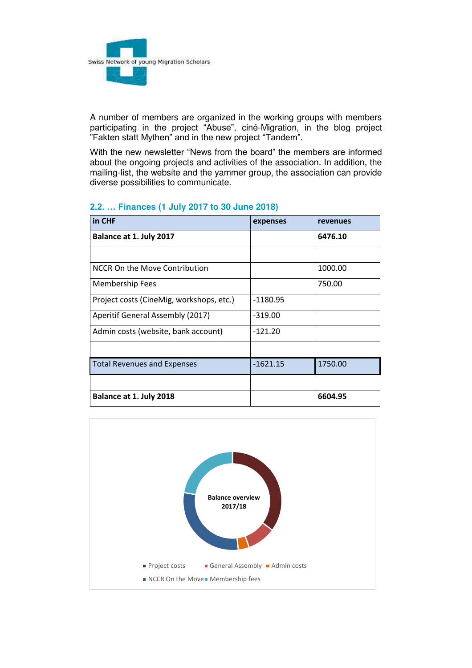

A number of members are organized in the working groups with members participating in the project "Abuse", ciné-Migration, in the blog project "Fakten statt Mythen" and in the new project "Tandem".

With the new newsletter "News from the board" the members are informed about the ongoing projects and activities of the association. In addition, the mailing-list, the website and the yammer group, the association can provide diverse possibilities to communicate.

| in CHF                                   | expenses   | revenues |
|------------------------------------------|------------|----------|
| Balance at 1. July 2017                  |            | 6476.10  |
|                                          |            |          |
| NCCR On the Move Contribution            |            | 1000.00  |
| <b>Membership Fees</b>                   |            | 750.00   |
| Project costs (CineMig, workshops, etc.) | -1180.95   |          |
| Aperitif General Assembly (2017)         | $-319.00$  |          |
| Admin costs (website, bank account)      | $-121.20$  |          |
|                                          |            |          |
| <b>Total Revenues and Expenses</b>       | $-1621.15$ | 1750.00  |
|                                          |            |          |
| Balance at 1. July 2018                  |            | 6604.95  |

# <span id="page-4-0"></span>**2.2. … Finances (1 July 2017 to 30 June 2018)**